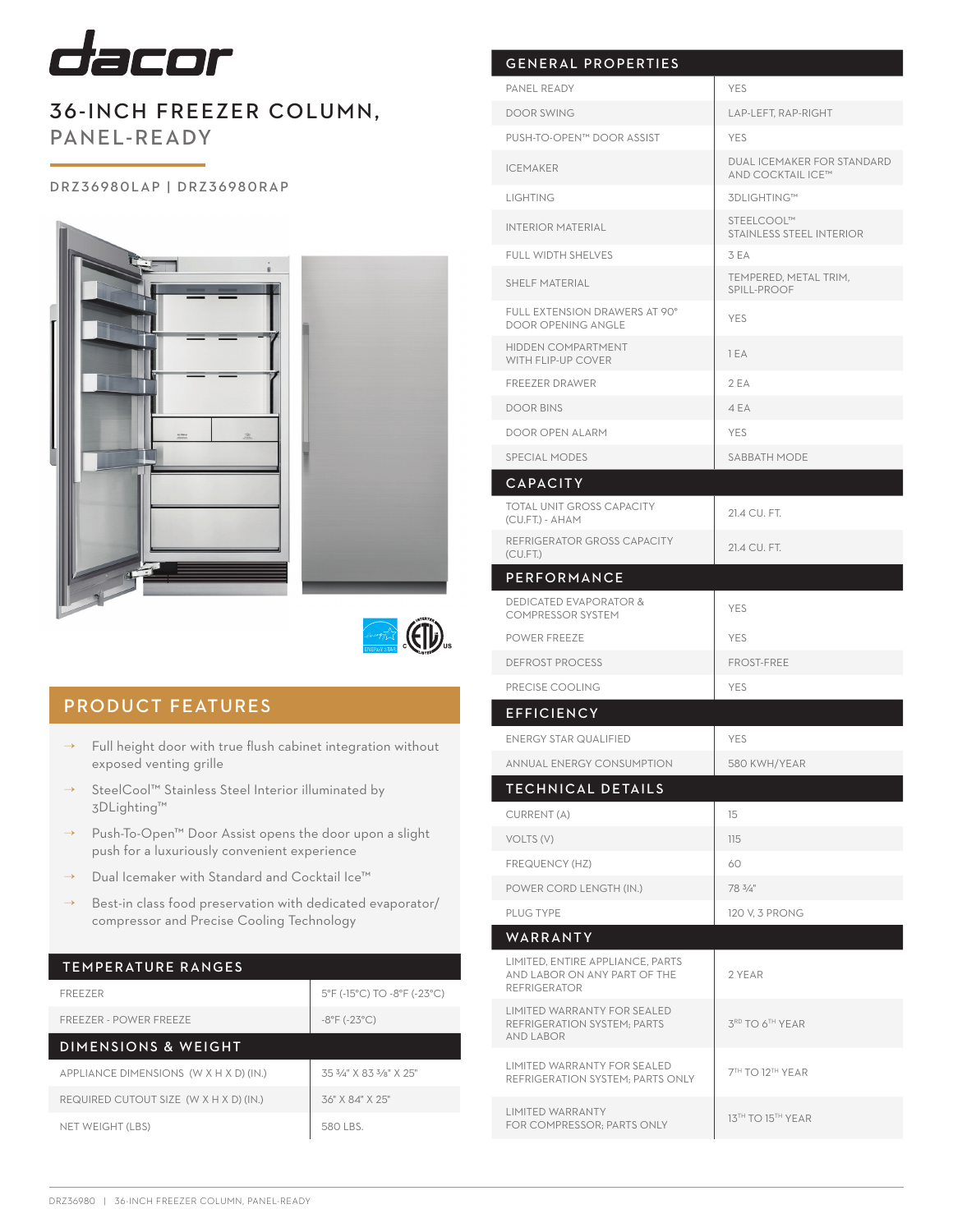

# 36-INCH FREEZER COLUMN, PANEL-READY

### DRZ36980LAP | DRZ36980RAP





# PRODUCT FEATURES

- $\rightarrow$  Full height door with true flush cabinet integration without exposed venting grille
- → SteelCool™ Stainless Steel Interior illuminated by 3DLighting™
- → Push-To-Open™ Door Assist opens the door upon a slight push for a luxuriously convenient experience
- → Dual Icemaker with Standard and Cocktail Ice™
- Best-in class food preservation with dedicated evaporator/ compressor and Precise Cooling Technology

### TEMPERATURE RANGES

| <b>FREEZER</b>                         | 5°F (-15°C) TO -8°F (-23°C)       |
|----------------------------------------|-----------------------------------|
| FREEZER - POWER FREEZE                 | $-8^{\circ}$ F ( $-23^{\circ}$ C) |
| DIMENSIONS & WEIGHT                    |                                   |
| APPLIANCE DIMENSIONS (W X H X D) (IN.) | 35 3/4" X 83 3/8" X 25"           |
| REQUIRED CUTOUT SIZE (W X H X D) (IN.) | 36" X 84" X 25"                   |
| NET WEIGHT (LBS)                       | 580 LBS                           |

| <b>GENERAL PROPERTIES</b>                                                               |                                                 |
|-----------------------------------------------------------------------------------------|-------------------------------------------------|
| PANEL READY                                                                             | <b>YES</b>                                      |
| <b>DOOR SWING</b>                                                                       | LAP-LEFT, RAP-RIGHT                             |
| PUSH-TO-OPEN™ DOOR ASSIST                                                               | <b>YES</b>                                      |
| <b>ICEMAKER</b>                                                                         | DUAL ICEMAKER FOR STANDARD<br>AND COCKTAIL ICE™ |
| <b>LIGHTING</b>                                                                         | 3DLIGHTING™                                     |
| <b>INTERIOR MATERIAL</b>                                                                | STEELCOOL™<br><b>STAINLESS STEEL INTERIOR</b>   |
| <b>FULL WIDTH SHELVES</b>                                                               | 3 EA                                            |
| <b>SHELF MATERIAL</b>                                                                   | TEMPERED, METAL TRIM,<br>SPILL-PROOF            |
| FULL EXTENSION DRAWERS AT 90°<br><b>DOOR OPENING ANGLE</b>                              | <b>YES</b>                                      |
| <b>HIDDEN COMPARTMENT</b><br>WITH FLIP-UP COVER                                         | 1 EA                                            |
| <b>FREEZER DRAWER</b>                                                                   | 2EA                                             |
| <b>DOOR BINS</b>                                                                        | 4 EA                                            |
| <b>DOOR OPEN ALARM</b>                                                                  | <b>YES</b>                                      |
| SPECIAL MODES                                                                           | SABBATH MODE                                    |
| <b>CAPACITY</b>                                                                         |                                                 |
| <b>TOTAL UNIT GROSS CAPACITY</b><br>(CU.FT.) - AHAM                                     | 21.4 CU. FT.                                    |
| REFRIGERATOR GROSS CAPACITY<br>(CU.FT.)                                                 | 21.4 CU. FT.                                    |
| <b>PERFORMANCE</b>                                                                      |                                                 |
| <b>DEDICATED EVAPORATOR &amp;</b><br><b>COMPRESSOR SYSTEM</b>                           | <b>YES</b>                                      |
| <b>POWER FREEZE</b>                                                                     | <b>YES</b>                                      |
| <b>DEFROST PROCESS</b>                                                                  | <b>FROST-FREE</b>                               |
| PRECISE COOLING                                                                         | <b>YES</b>                                      |
| <b>EFFICIENCY</b>                                                                       |                                                 |
| <b>ENERGY STAR QUALIFIED</b>                                                            | <b>YES</b>                                      |
| ANNUAL ENERGY CONSUMPTION                                                               | 580 KWH/YEAR                                    |
| TECHNICAL DETAILS                                                                       |                                                 |
| CURRENT (A)                                                                             | 15                                              |
| VOLTS (V)                                                                               | 115                                             |
| FREQUENCY (HZ)                                                                          | 60                                              |
| POWER CORD LENGTH (IN.)                                                                 | 78 $3/4"$                                       |
| PLUG TYPE                                                                               | 120 V, 3 PRONG                                  |
| WARRANTY                                                                                |                                                 |
| LIMITED, ENTIRE APPLIANCE, PARTS<br>AND LABOR ON ANY PART OF THE<br><b>REFRIGERATOR</b> | 2 YEAR                                          |
| <b>LIMITED WARRANTY FOR SEALED</b><br>REFRIGERATION SYSTEM; PARTS<br><b>AND LABOR</b>   | 3RD TO 6TH YEAR                                 |
| LIMITED WARRANTY FOR SEALED<br>REFRIGERATION SYSTEM; PARTS ONLY                         | 7TH TO 12TH YEAR                                |
| <b>LIMITED WARRANTY</b><br>FOR COMPRESSOR; PARTS ONLY                                   | 13TH TO 15TH YEAR                               |
|                                                                                         |                                                 |